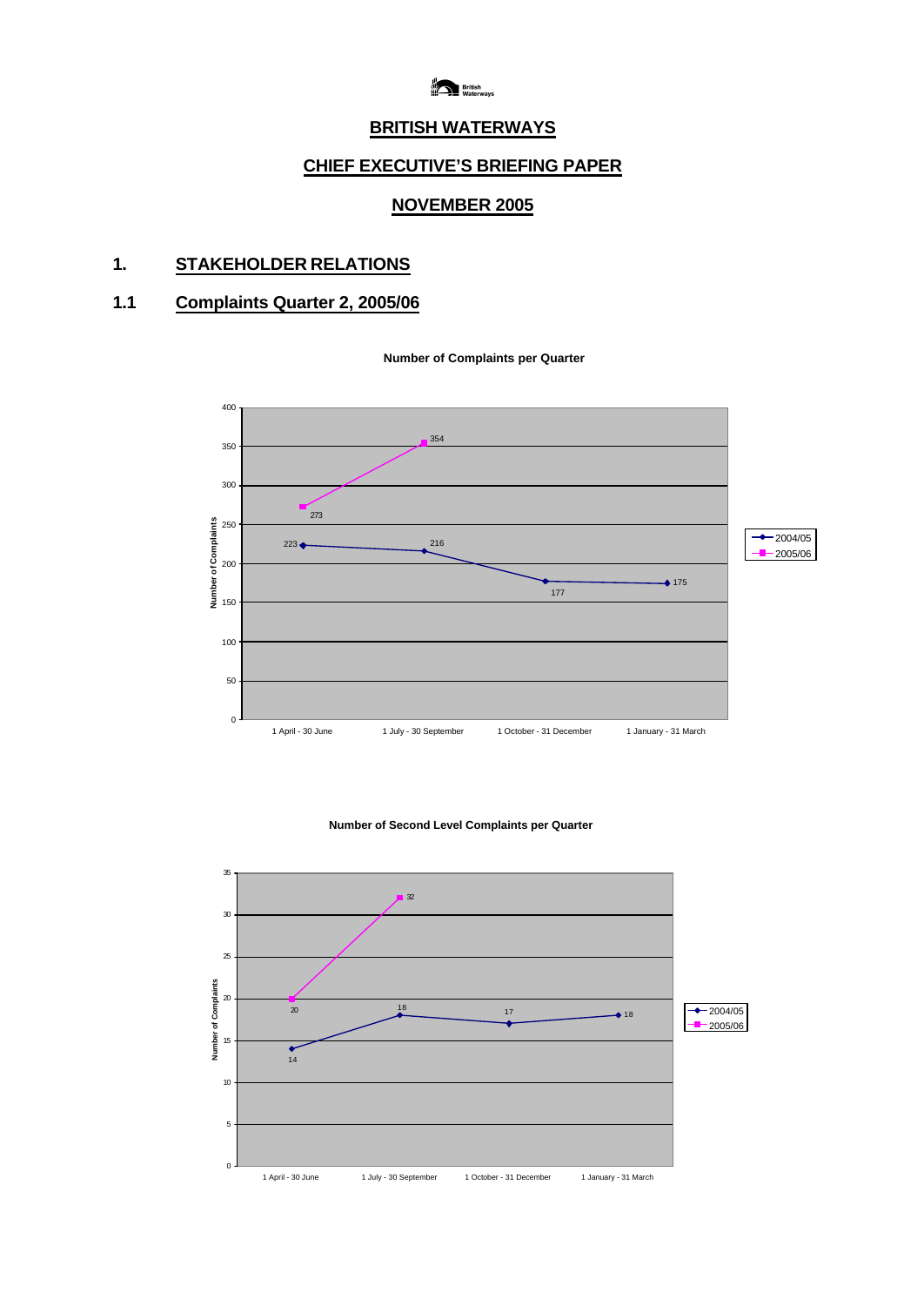

## **BRITISH WATERWAYS**

# **CHIEF EXECUTIVE'S BRIEFING PAPER**

## **NOVEMBER 2005**

# **1. STAKEHOLDER RELATIONS**

# **1.1 Complaints Quarter 2, 2005/06**





#### **Number of Second Level Complaints per Quarter**

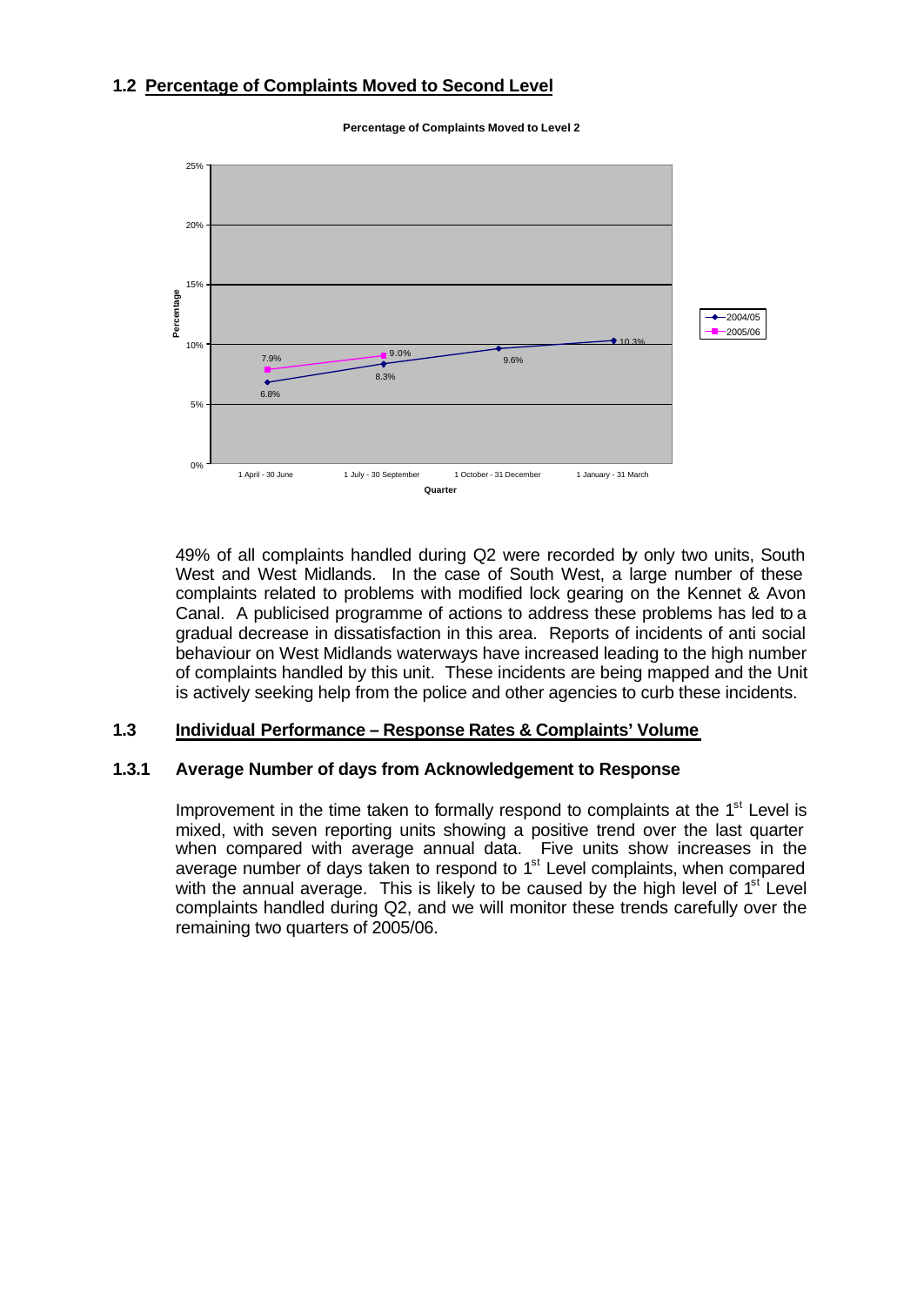## **1.2 Percentage of Complaints Moved to Second Level**



**Percentage of Complaints Moved to Level 2**

49% of all complaints handled during Q2 were recorded by only two units, South West and West Midlands. In the case of South West, a large number of these complaints related to problems with modified lock gearing on the Kennet & Avon Canal. A publicised programme of actions to address these problems has led to a gradual decrease in dissatisfaction in this area. Reports of incidents of anti social behaviour on West Midlands waterways have increased leading to the high number of complaints handled by this unit. These incidents are being mapped and the Unit is actively seeking help from the police and other agencies to curb these incidents.

#### **1.3 Individual Performance – Response Rates & Complaints' Volume**

#### **1.3.1 Average Number of days from Acknowledgement to Response**

Improvement in the time taken to formally respond to complaints at the  $1<sup>st</sup>$  Level is mixed, with seven reporting units showing a positive trend over the last quarter when compared with average annual data. Five units show increases in the average number of days taken to respond to 1<sup>st</sup> Level complaints, when compared with the annual average. This is likely to be caused by the high level of  $1<sup>st</sup>$  Level complaints handled during Q2, and we will monitor these trends carefully over the remaining two quarters of 2005/06.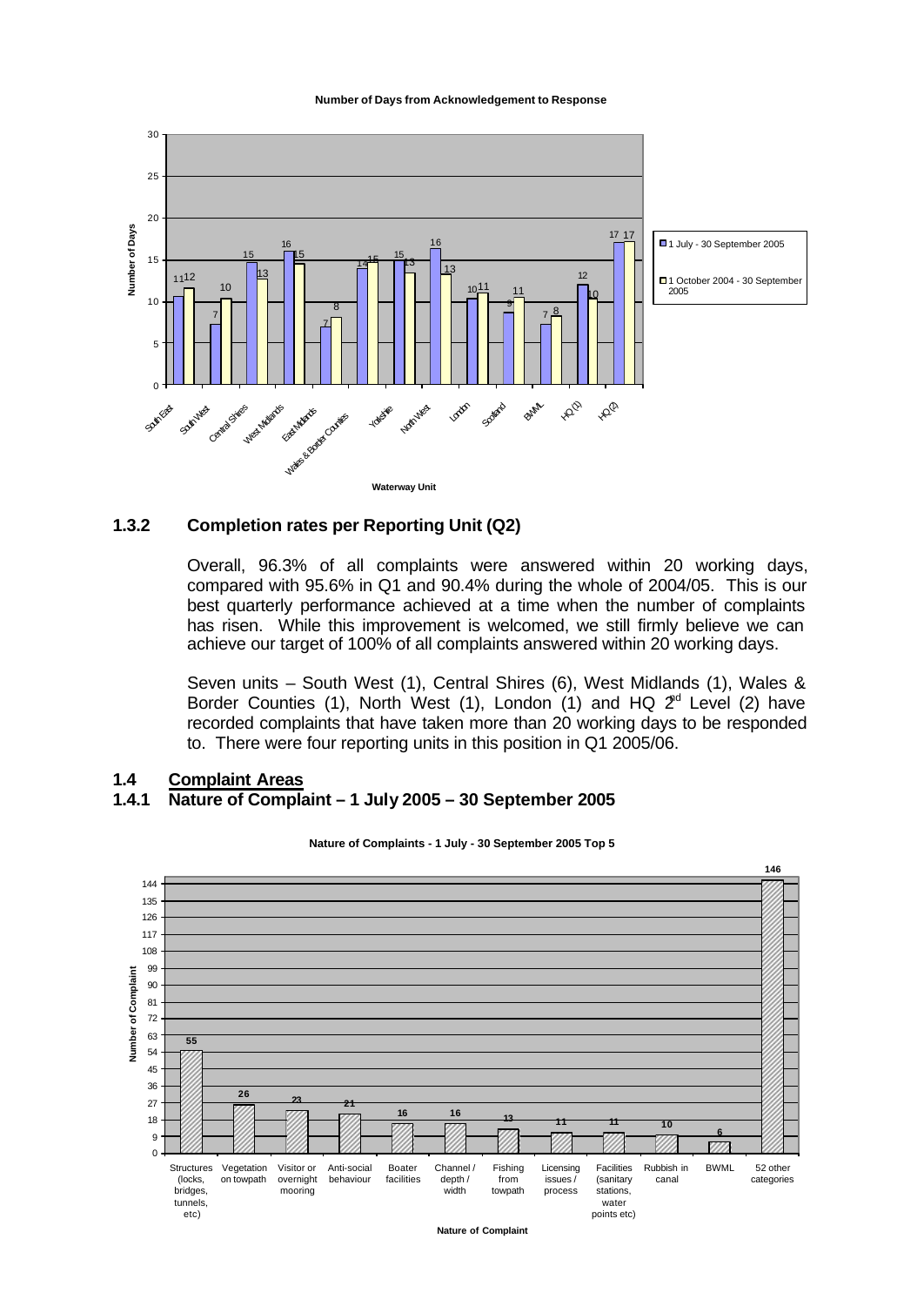#### **Number of Days from Acknowledgement to Response**



#### **1.3.2 Completion rates per Reporting Unit (Q2)**

Overall, 96.3% of all complaints were answered within 20 working days, compared with 95.6% in Q1 and 90.4% during the whole of 2004/05. This is our best quarterly performance achieved at a time when the number of complaints has risen. While this improvement is welcomed, we still firmly believe we can achieve our target of 100% of all complaints answered within 20 working days.

Seven units – South West (1), Central Shires (6), West Midlands (1), Wales & Border Counties (1), North West (1), London (1) and HQ  $2<sup>rd</sup>$  Level (2) have recorded complaints that have taken more than 20 working days to be responded to. There were four reporting units in this position in Q1 2005/06.

#### **1.4 Complaint Areas 1.4.1 Nature of Complaint – 1 July 2005 – 30 September 2005**



#### **Nature of Complaints - 1 July - 30 September 2005 Top 5**

**Nature of Complaint**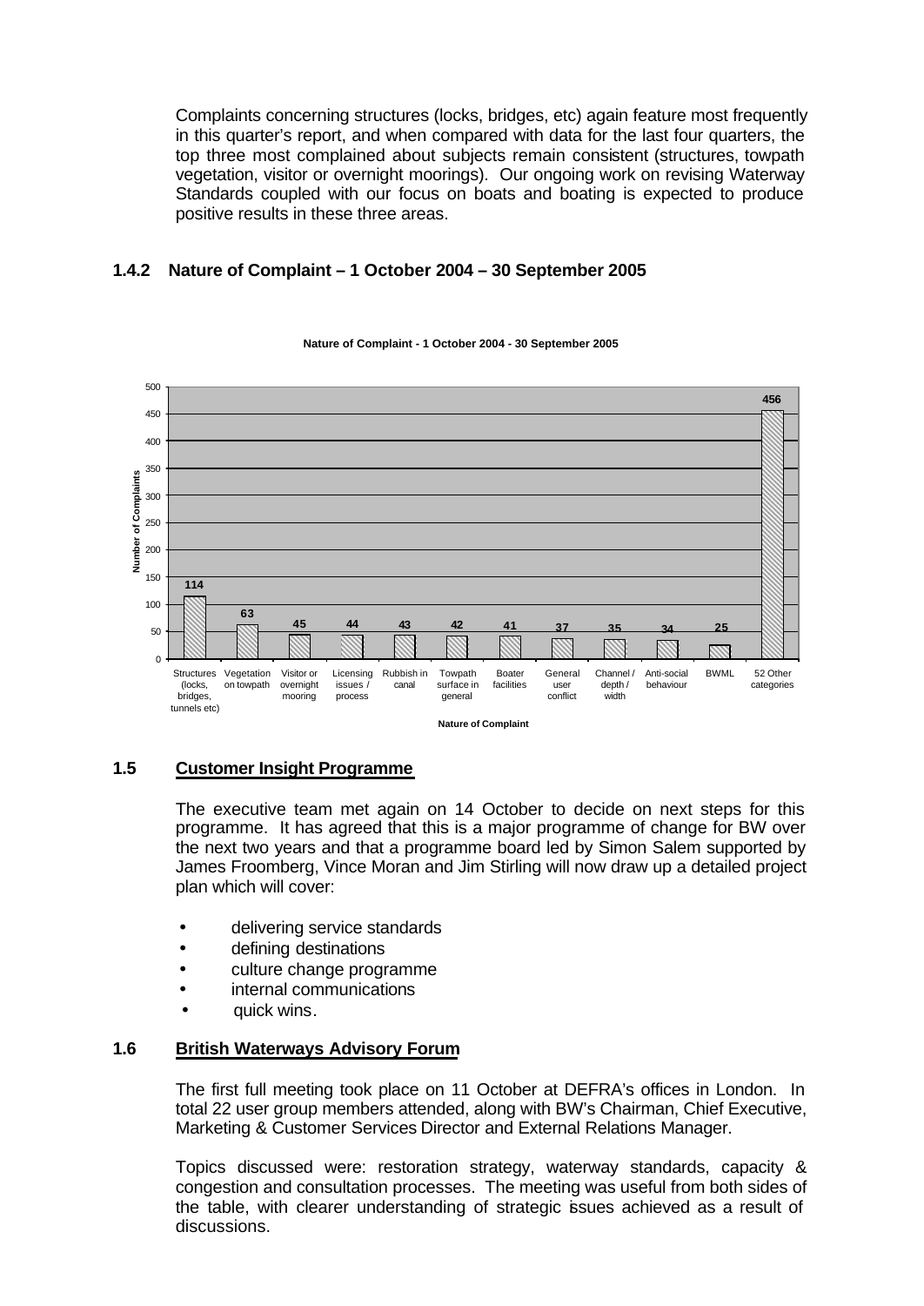Complaints concerning structures (locks, bridges, etc) again feature most frequently in this quarter's report, and when compared with data for the last four quarters, the top three most complained about subjects remain consistent (structures, towpath vegetation, visitor or overnight moorings). Our ongoing work on revising Waterway Standards coupled with our focus on boats and boating is expected to produce positive results in these three areas.

## **1.4.2 Nature of Complaint – 1 October 2004 – 30 September 2005**



#### **Nature of Complaint - 1 October 2004 - 30 September 2005**

### **1.5 Customer Insight Programme**

The executive team met again on 14 October to decide on next steps for this programme. It has agreed that this is a major programme of change for BW over the next two years and that a programme board led by Simon Salem supported by James Froomberg, Vince Moran and Jim Stirling will now draw up a detailed project plan which will cover:

- delivering service standards
- defining destinations
- culture change programme
- internal communications
- quick wins.

### **1.6 British Waterways Advisory Forum**

The first full meeting took place on 11 October at DEFRA's offices in London. In total 22 user group members attended, along with BW's Chairman, Chief Executive, Marketing & Customer Services Director and External Relations Manager.

Topics discussed were: restoration strategy, waterway standards, capacity & congestion and consultation processes. The meeting was useful from both sides of the table, with clearer understanding of strategic issues achieved as a result of discussions.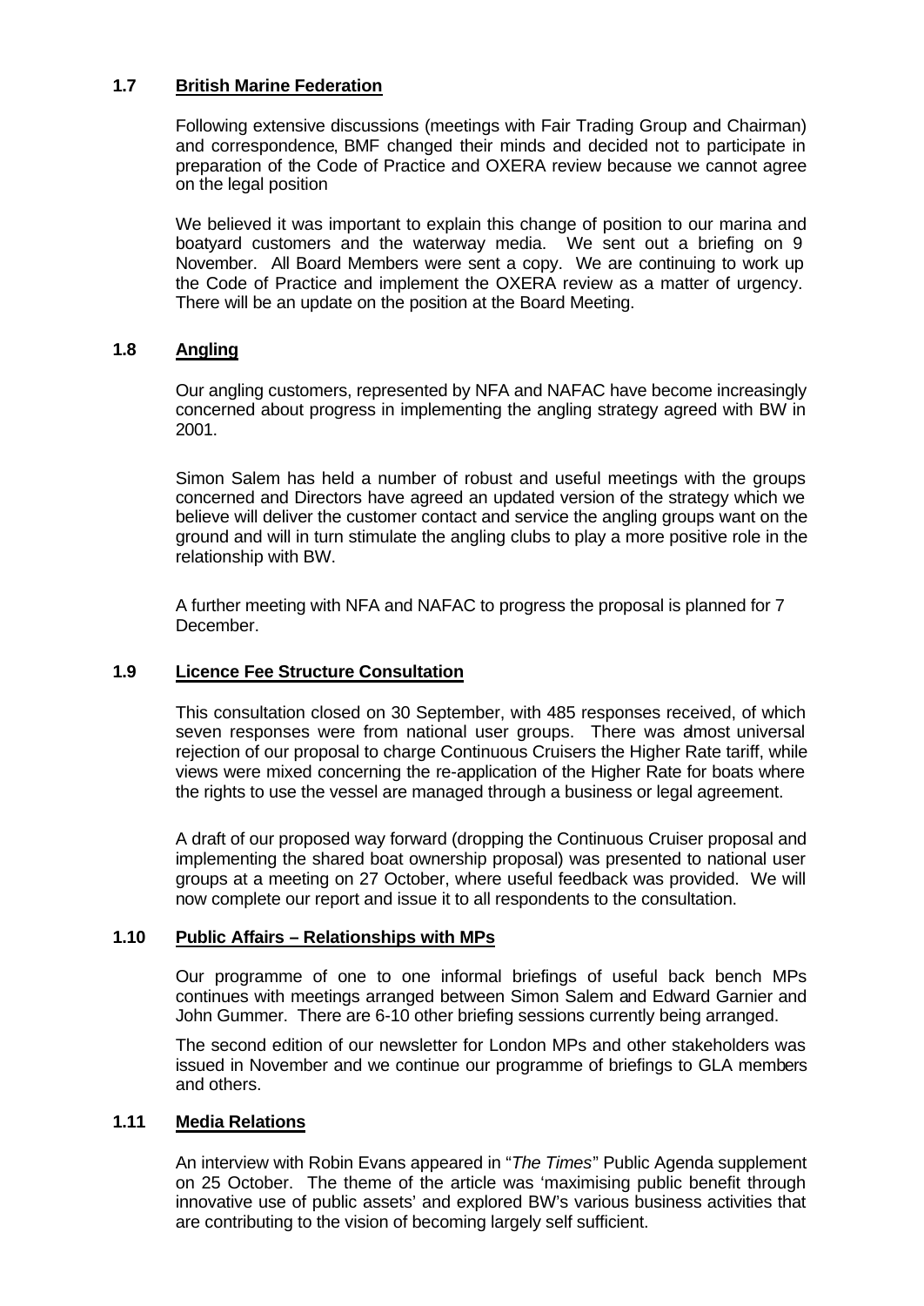## **1.7 British Marine Federation**

Following extensive discussions (meetings with Fair Trading Group and Chairman) and correspondence, BMF changed their minds and decided not to participate in preparation of the Code of Practice and OXERA review because we cannot agree on the legal position

We believed it was important to explain this change of position to our marina and boatyard customers and the waterway media. We sent out a briefing on 9 November. All Board Members were sent a copy. We are continuing to work up the Code of Practice and implement the OXERA review as a matter of urgency. There will be an update on the position at the Board Meeting.

## **1.8 Angling**

Our angling customers, represented by NFA and NAFAC have become increasingly concerned about progress in implementing the angling strategy agreed with BW in 2001.

Simon Salem has held a number of robust and useful meetings with the groups concerned and Directors have agreed an updated version of the strategy which we believe will deliver the customer contact and service the angling groups want on the ground and will in turn stimulate the angling clubs to play a more positive role in the relationship with BW.

A further meeting with NFA and NAFAC to progress the proposal is planned for 7 December.

## **1.9 Licence Fee Structure Consultation**

This consultation closed on 30 September, with 485 responses received, of which seven responses were from national user groups. There was amost universal rejection of our proposal to charge Continuous Cruisers the Higher Rate tariff, while views were mixed concerning the re-application of the Higher Rate for boats where the rights to use the vessel are managed through a business or legal agreement.

A draft of our proposed way forward (dropping the Continuous Cruiser proposal and implementing the shared boat ownership proposal) was presented to national user groups at a meeting on 27 October, where useful feedback was provided. We will now complete our report and issue it to all respondents to the consultation.

### **1.10 Public Affairs – Relationships with MPs**

Our programme of one to one informal briefings of useful back bench MPs continues with meetings arranged between Simon Salem and Edward Garnier and John Gummer. There are 6-10 other briefing sessions currently being arranged.

The second edition of our newsletter for London MPs and other stakeholders was issued in November and we continue our programme of briefings to GLA members and others.

## **1.11 Media Relations**

An interview with Robin Evans appeared in "*The Times*" Public Agenda supplement on 25 October. The theme of the article was 'maximising public benefit through innovative use of public assets' and explored BW's various business activities that are contributing to the vision of becoming largely self sufficient.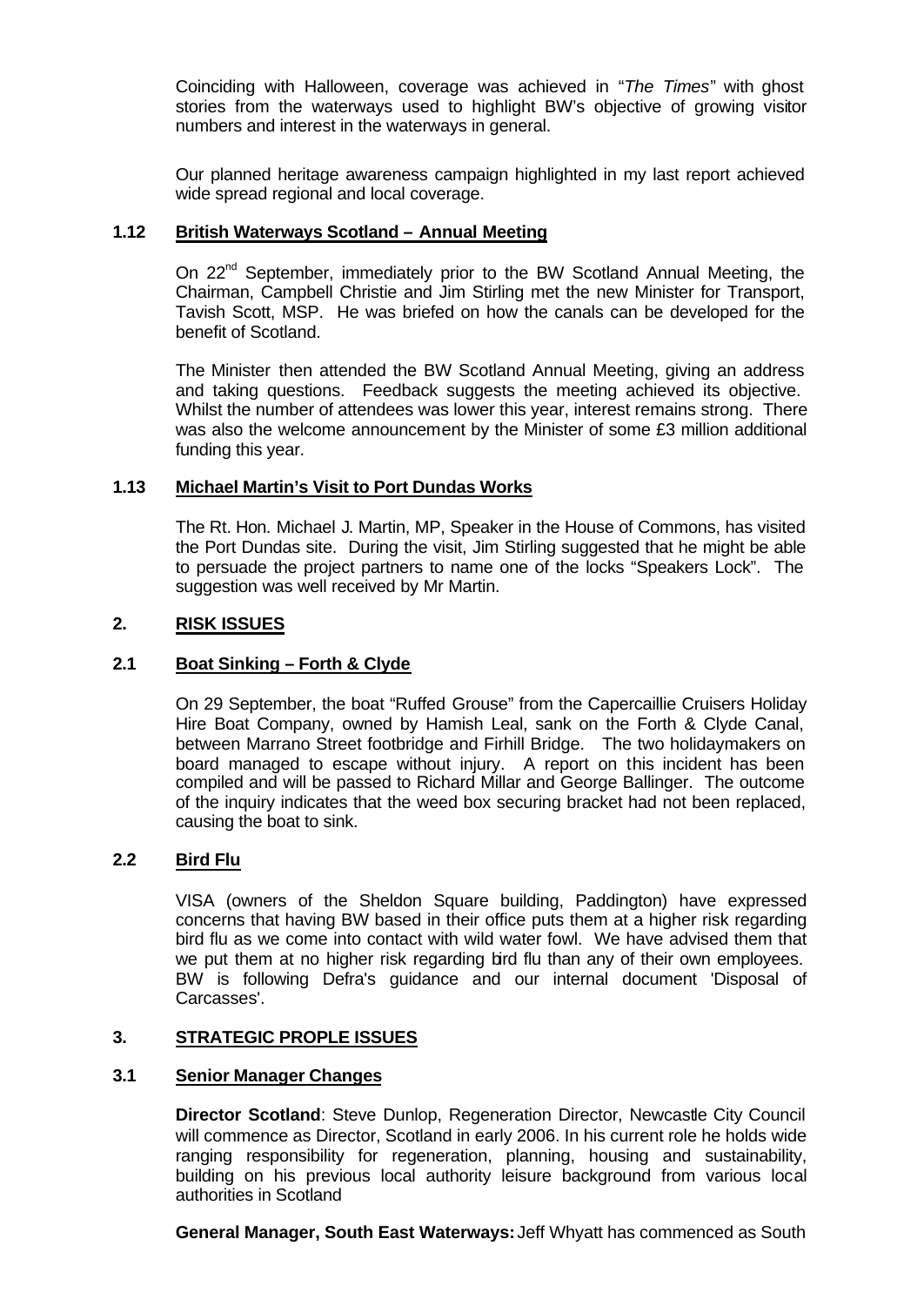Coinciding with Halloween, coverage was achieved in "*The Times*" with ghost stories from the waterways used to highlight BW's objective of growing visitor numbers and interest in the waterways in general.

Our planned heritage awareness campaign highlighted in my last report achieved wide spread regional and local coverage.

### **1.12 British Waterways Scotland – Annual Meeting**

On 22<sup>nd</sup> September, immediately prior to the BW Scotland Annual Meeting, the Chairman, Campbell Christie and Jim Stirling met the new Minister for Transport, Tavish Scott, MSP. He was briefed on how the canals can be developed for the benefit of Scotland.

The Minister then attended the BW Scotland Annual Meeting, giving an address and taking questions. Feedback suggests the meeting achieved its objective. Whilst the number of attendees was lower this year, interest remains strong. There was also the welcome announcement by the Minister of some £3 million additional funding this year.

#### **1.13 Michael Martin's Visit to Port Dundas Works**

The Rt. Hon. Michael J. Martin, MP, Speaker in the House of Commons, has visited the Port Dundas site. During the visit, Jim Stirling suggested that he might be able to persuade the project partners to name one of the locks "Speakers Lock". The suggestion was well received by Mr Martin.

#### **2. RISK ISSUES**

### **2.1 Boat Sinking – Forth & Clyde**

On 29 September, the boat "Ruffed Grouse" from the Capercaillie Cruisers Holiday Hire Boat Company, owned by Hamish Leal, sank on the Forth & Clyde Canal, between Marrano Street footbridge and Firhill Bridge. The two holidaymakers on board managed to escape without injury. A report on this incident has been compiled and will be passed to Richard Millar and George Ballinger. The outcome of the inquiry indicates that the weed box securing bracket had not been replaced, causing the boat to sink.

#### **2.2 Bird Flu**

VISA (owners of the Sheldon Square building, Paddington) have expressed concerns that having BW based in their office puts them at a higher risk regarding bird flu as we come into contact with wild water fowl. We have advised them that we put them at no higher risk regarding bird flu than any of their own employees. BW is following Defra's guidance and our internal document 'Disposal of Carcasses'.

#### **3. STRATEGIC PROPLE ISSUES**

#### **3.1 Senior Manager Changes**

**Director Scotland:** Steve Dunlop, Regeneration Director, Newcastle City Council will commence as Director, Scotland in early 2006. In his current role he holds wide ranging responsibility for regeneration, planning, housing and sustainability, building on his previous local authority leisure background from various local authorities in Scotland

**General Manager, South East Waterways:** Jeff Whyatt has commenced as South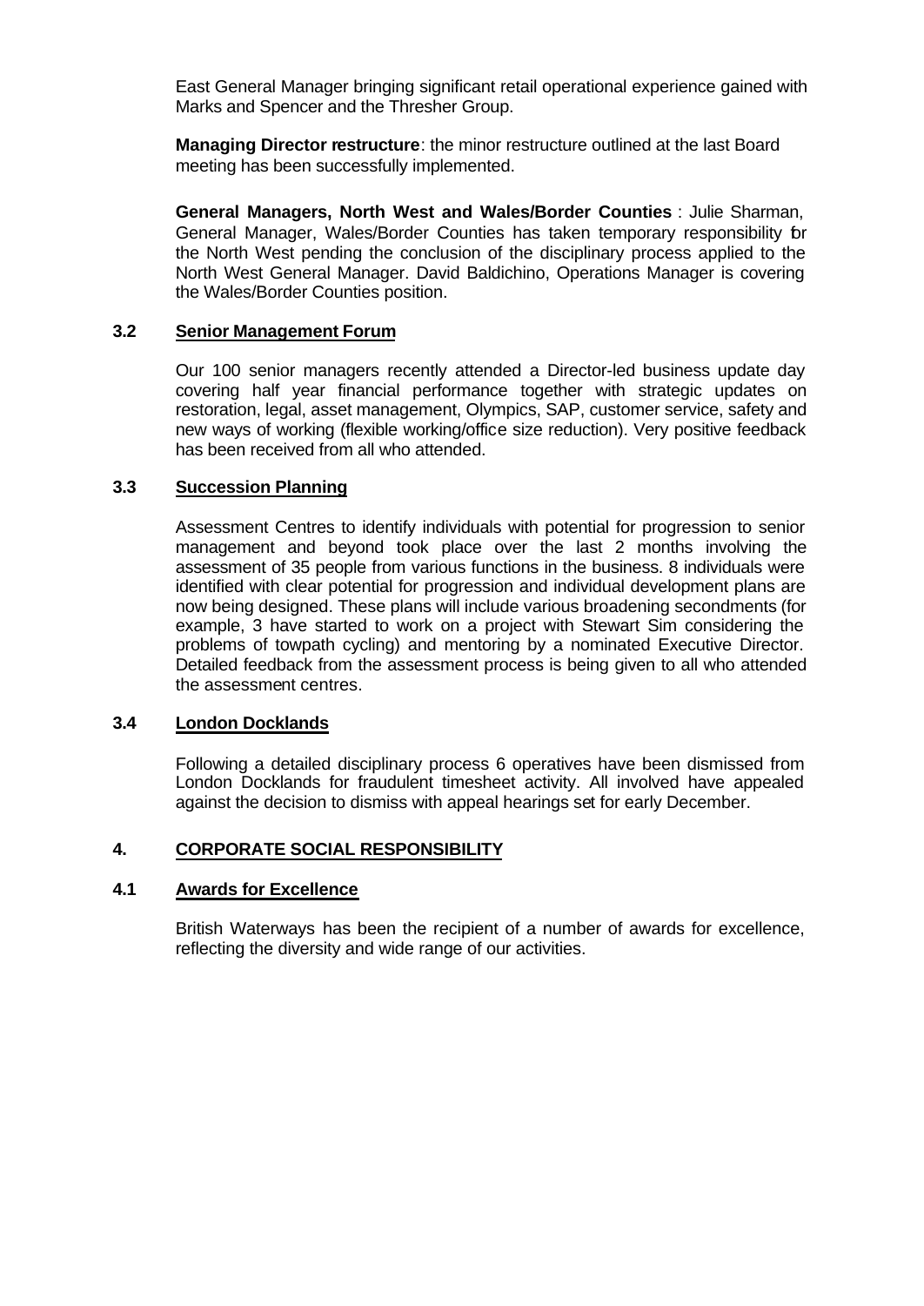East General Manager bringing significant retail operational experience gained with Marks and Spencer and the Thresher Group.

**Managing Director restructure**: the minor restructure outlined at the last Board meeting has been successfully implemented.

**General Managers, North West and Wales/Border Counties** : Julie Sharman, General Manager, Wales/Border Counties has taken temporary responsibility for the North West pending the conclusion of the disciplinary process applied to the North West General Manager. David Baldichino, Operations Manager is covering the Wales/Border Counties position.

### **3.2 Senior Management Forum**

Our 100 senior managers recently attended a Director-led business update day covering half year financial performance together with strategic updates on restoration, legal, asset management, Olympics, SAP, customer service, safety and new ways of working (flexible working/office size reduction). Very positive feedback has been received from all who attended.

#### **3.3 Succession Planning**

Assessment Centres to identify individuals with potential for progression to senior management and beyond took place over the last 2 months involving the assessment of 35 people from various functions in the business. 8 individuals were identified with clear potential for progression and individual development plans are now being designed. These plans will include various broadening secondments (for example, 3 have started to work on a project with Stewart Sim considering the problems of towpath cycling) and mentoring by a nominated Executive Director. Detailed feedback from the assessment process is being given to all who attended the assessment centres.

## **3.4 London Docklands**

Following a detailed disciplinary process 6 operatives have been dismissed from London Docklands for fraudulent timesheet activity. All involved have appealed against the decision to dismiss with appeal hearings set for early December.

### **4. CORPORATE SOCIAL RESPONSIBILITY**

#### **4.1 Awards for Excellence**

British Waterways has been the recipient of a number of awards for excellence, reflecting the diversity and wide range of our activities.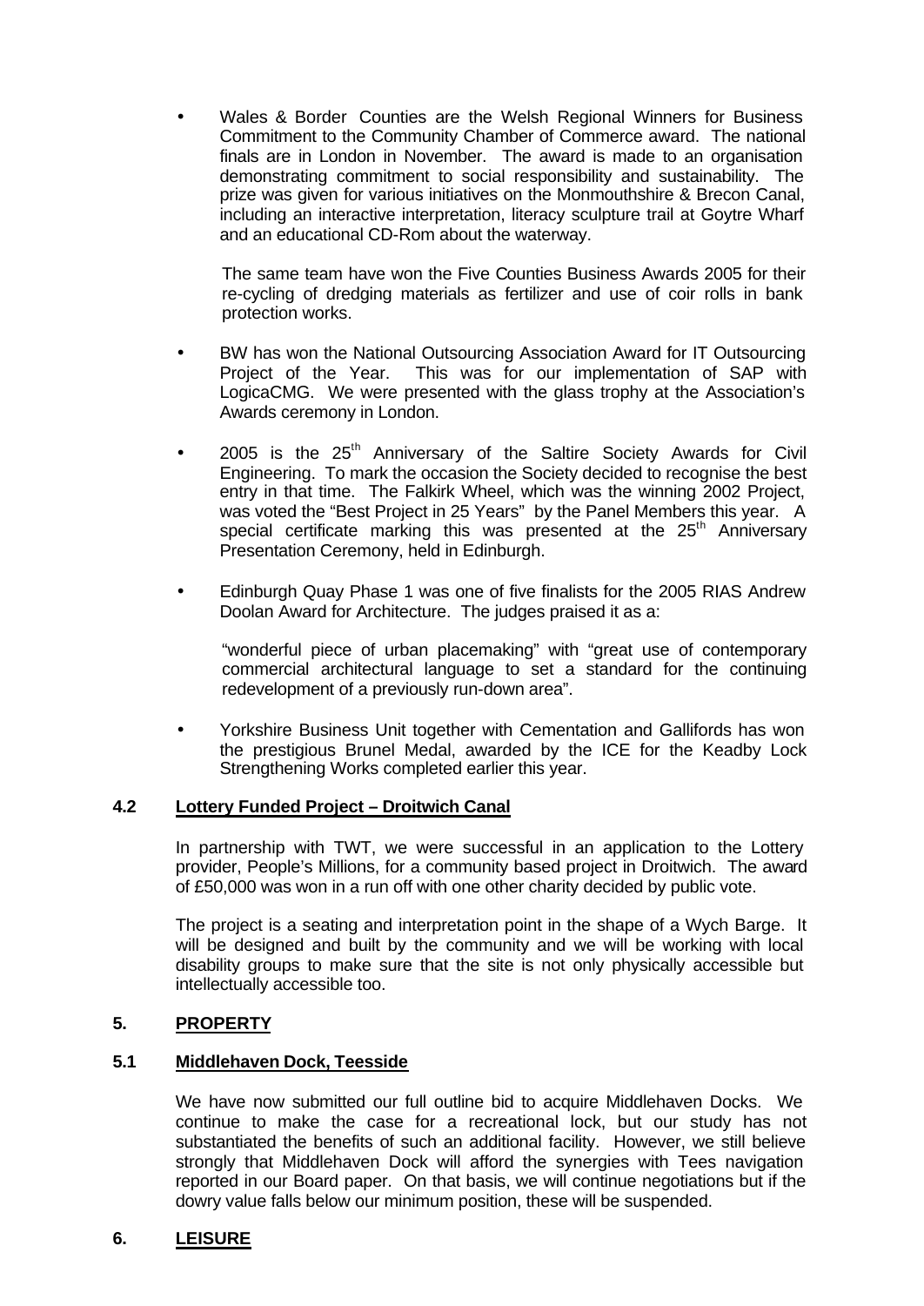• Wales & Border Counties are the Welsh Regional Winners for Business Commitment to the Community Chamber of Commerce award. The national finals are in London in November. The award is made to an organisation demonstrating commitment to social responsibility and sustainability. The prize was given for various initiatives on the Monmouthshire & Brecon Canal, including an interactive interpretation, literacy sculpture trail at Goytre Wharf and an educational CD-Rom about the waterway.

The same team have won the Five Counties Business Awards 2005 for their re-cycling of dredging materials as fertilizer and use of coir rolls in bank protection works.

- BW has won the National Outsourcing Association Award for IT Outsourcing Project of the Year. This was for our implementation of SAP with LogicaCMG. We were presented with the glass trophy at the Association's Awards ceremony in London.
- 2005 is the 25<sup>th</sup> Anniversary of the Saltire Society Awards for Civil Engineering. To mark the occasion the Society decided to recognise the best entry in that time. The Falkirk Wheel, which was the winning 2002 Project, was voted the "Best Project in 25 Years" by the Panel Members this year. A special certificate marking this was presented at the 25<sup>th</sup> Anniversarv Presentation Ceremony, held in Edinburgh.
- Edinburgh Quay Phase 1 was one of five finalists for the 2005 RIAS Andrew Doolan Award for Architecture. The judges praised it as a:

"wonderful piece of urban placemaking" with "great use of contemporary commercial architectural language to set a standard for the continuing redevelopment of a previously run-down area".

• Yorkshire Business Unit together with Cementation and Gallifords has won the prestigious Brunel Medal, awarded by the ICE for the Keadby Lock Strengthening Works completed earlier this year.

### **4.2 Lottery Funded Project – Droitwich Canal**

In partnership with TWT, we were successful in an application to the Lottery provider, People's Millions, for a community based project in Droitwich. The award of £50,000 was won in a run off with one other charity decided by public vote.

The project is a seating and interpretation point in the shape of a Wych Barge. It will be designed and built by the community and we will be working with local disability groups to make sure that the site is not only physically accessible but intellectually accessible too.

### **5. PROPERTY**

## **5.1 Middlehaven Dock, Teesside**

We have now submitted our full outline bid to acquire Middlehaven Docks. We continue to make the case for a recreational lock, but our study has not substantiated the benefits of such an additional facility. However, we still believe strongly that Middlehaven Dock will afford the synergies with Tees navigation reported in our Board paper. On that basis, we will continue negotiations but if the dowry value falls below our minimum position, these will be suspended.

### **6. LEISURE**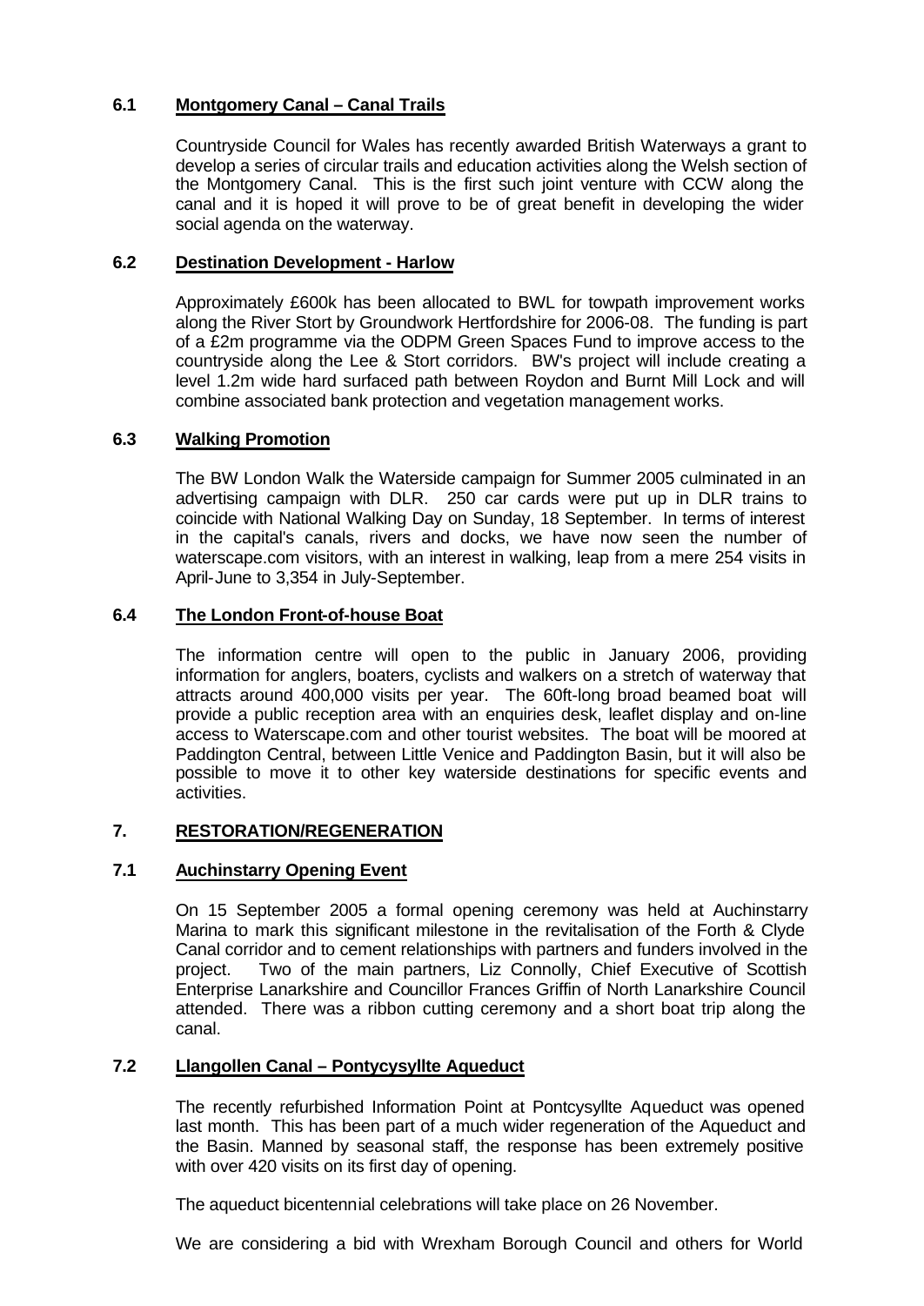## **6.1 Montgomery Canal – Canal Trails**

Countryside Council for Wales has recently awarded British Waterways a grant to develop a series of circular trails and education activities along the Welsh section of the Montgomery Canal. This is the first such joint venture with CCW along the canal and it is hoped it will prove to be of great benefit in developing the wider social agenda on the waterway.

## **6.2 Destination Development - Harlow**

Approximately £600k has been allocated to BWL for towpath improvement works along the River Stort by Groundwork Hertfordshire for 2006-08. The funding is part of a £2m programme via the ODPM Green Spaces Fund to improve access to the countryside along the Lee & Stort corridors. BW's project will include creating a level 1.2m wide hard surfaced path between Roydon and Burnt Mill Lock and will combine associated bank protection and vegetation management works.

## **6.3 Walking Promotion**

The BW London Walk the Waterside campaign for Summer 2005 culminated in an advertising campaign with DLR. 250 car cards were put up in DLR trains to coincide with National Walking Day on Sunday, 18 September. In terms of interest in the capital's canals, rivers and docks, we have now seen the number of waterscape.com visitors, with an interest in walking, leap from a mere 254 visits in April-June to 3,354 in July-September.

### **6.4 The London Front-of-house Boat**

The information centre will open to the public in January 2006, providing information for anglers, boaters, cyclists and walkers on a stretch of waterway that attracts around 400,000 visits per year. The 60ft-long broad beamed boat will provide a public reception area with an enquiries desk, leaflet display and on-line access to Waterscape.com and other tourist websites. The boat will be moored at Paddington Central, between Little Venice and Paddington Basin, but it will also be possible to move it to other key waterside destinations for specific events and activities.

### **7. RESTORATION/REGENERATION**

### **7.1 Auchinstarry Opening Event**

On 15 September 2005 a formal opening ceremony was held at Auchinstarry Marina to mark this significant milestone in the revitalisation of the Forth & Clyde Canal corridor and to cement relationships with partners and funders involved in the project. Two of the main partners, Liz Connolly, Chief Executive of Scottish Enterprise Lanarkshire and Councillor Frances Griffin of North Lanarkshire Council attended. There was a ribbon cutting ceremony and a short boat trip along the canal.

### **7.2 Llangollen Canal – Pontycysyllte Aqueduct**

The recently refurbished Information Point at Pontcysyllte Aqueduct was opened last month. This has been part of a much wider regeneration of the Aqueduct and the Basin. Manned by seasonal staff, the response has been extremely positive with over 420 visits on its first day of opening.

The aqueduct bicentennial celebrations will take place on 26 November.

We are considering a bid with Wrexham Borough Council and others for World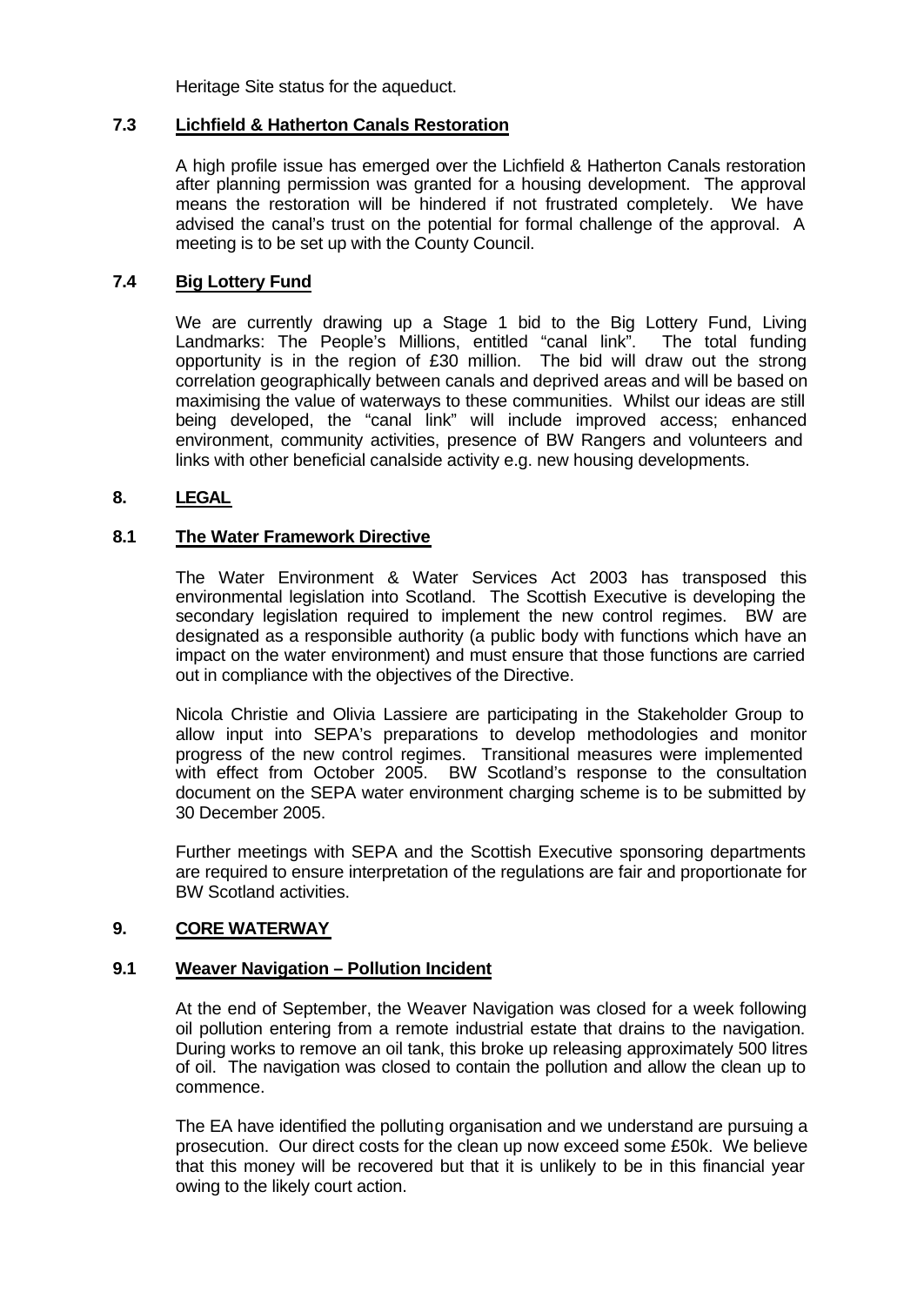Heritage Site status for the aqueduct.

#### **7.3 Lichfield & Hatherton Canals Restoration**

A high profile issue has emerged over the Lichfield & Hatherton Canals restoration after planning permission was granted for a housing development. The approval means the restoration will be hindered if not frustrated completely. We have advised the canal's trust on the potential for formal challenge of the approval. A meeting is to be set up with the County Council.

## **7.4 Big Lottery Fund**

We are currently drawing up a Stage 1 bid to the Big Lottery Fund, Living Landmarks: The People's Millions, entitled "canal link". The total funding opportunity is in the region of £30 million. The bid will draw out the strong correlation geographically between canals and deprived areas and will be based on maximising the value of waterways to these communities. Whilst our ideas are still being developed, the "canal link" will include improved access; enhanced environment, community activities, presence of BW Rangers and volunteers and links with other beneficial canalside activity e.g. new housing developments.

### **8. LEGAL**

#### **8.1 The Water Framework Directive**

The Water Environment & Water Services Act 2003 has transposed this environmental legislation into Scotland. The Scottish Executive is developing the secondary legislation required to implement the new control regimes. BW are designated as a responsible authority (a public body with functions which have an impact on the water environment) and must ensure that those functions are carried out in compliance with the objectives of the Directive.

Nicola Christie and Olivia Lassiere are participating in the Stakeholder Group to allow input into SEPA's preparations to develop methodologies and monitor progress of the new control regimes. Transitional measures were implemented with effect from October 2005. BW Scotland's response to the consultation document on the SEPA water environment charging scheme is to be submitted by 30 December 2005.

Further meetings with SEPA and the Scottish Executive sponsoring departments are required to ensure interpretation of the regulations are fair and proportionate for BW Scotland activities.

### **9. CORE WATERWAY**

### **9.1 Weaver Navigation – Pollution Incident**

At the end of September, the Weaver Navigation was closed for a week following oil pollution entering from a remote industrial estate that drains to the navigation. During works to remove an oil tank, this broke up releasing approximately 500 litres of oil. The navigation was closed to contain the pollution and allow the clean up to commence.

The EA have identified the polluting organisation and we understand are pursuing a prosecution. Our direct costs for the clean up now exceed some £50k. We believe that this money will be recovered but that it is unlikely to be in this financial year owing to the likely court action.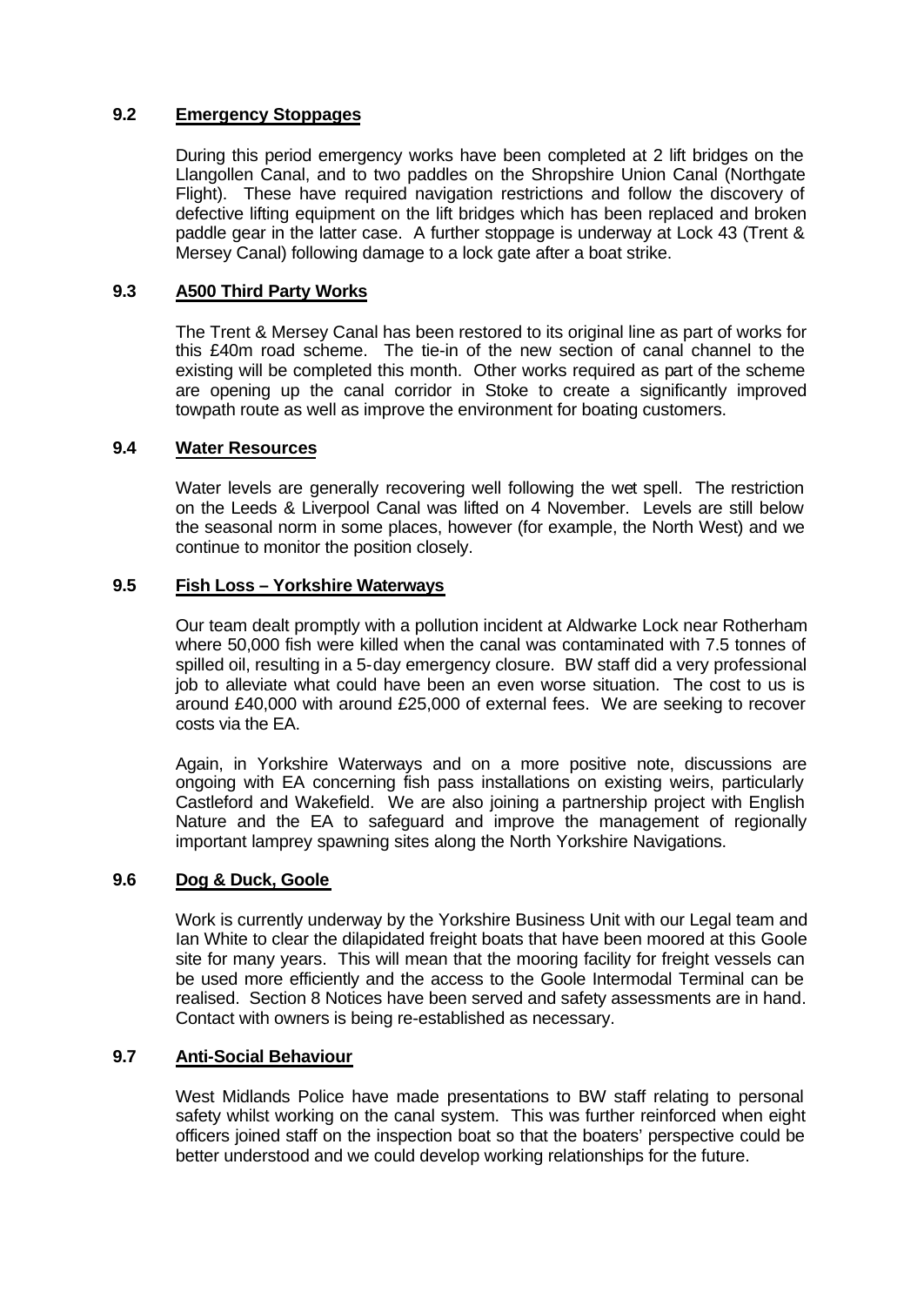## **9.2 Emergency Stoppages**

During this period emergency works have been completed at 2 lift bridges on the Llangollen Canal, and to two paddles on the Shropshire Union Canal (Northgate Flight). These have required navigation restrictions and follow the discovery of defective lifting equipment on the lift bridges which has been replaced and broken paddle gear in the latter case. A further stoppage is underway at Lock 43 (Trent & Mersey Canal) following damage to a lock gate after a boat strike.

## **9.3 A500 Third Party Works**

The Trent & Mersey Canal has been restored to its original line as part of works for this £40m road scheme. The tie-in of the new section of canal channel to the existing will be completed this month. Other works required as part of the scheme are opening up the canal corridor in Stoke to create a significantly improved towpath route as well as improve the environment for boating customers.

### **9.4 Water Resources**

Water levels are generally recovering well following the wet spell. The restriction on the Leeds & Liverpool Canal was lifted on 4 November. Levels are still below the seasonal norm in some places, however (for example, the North West) and we continue to monitor the position closely.

### **9.5 Fish Loss – Yorkshire Waterways**

Our team dealt promptly with a pollution incident at Aldwarke Lock near Rotherham where 50,000 fish were killed when the canal was contaminated with 7.5 tonnes of spilled oil, resulting in a 5-day emergency closure. BW staff did a very professional job to alleviate what could have been an even worse situation. The cost to us is around £40,000 with around £25,000 of external fees. We are seeking to recover costs via the EA.

Again, in Yorkshire Waterways and on a more positive note, discussions are ongoing with EA concerning fish pass installations on existing weirs, particularly Castleford and Wakefield. We are also joining a partnership project with English Nature and the EA to safeguard and improve the management of regionally important lamprey spawning sites along the North Yorkshire Navigations.

### **9.6 Dog & Duck, Goole**

Work is currently underway by the Yorkshire Business Unit with our Legal team and Ian White to clear the dilapidated freight boats that have been moored at this Goole site for many years. This will mean that the mooring facility for freight vessels can be used more efficiently and the access to the Goole Intermodal Terminal can be realised. Section 8 Notices have been served and safety assessments are in hand. Contact with owners is being re-established as necessary.

### **9.7 Anti-Social Behaviour**

West Midlands Police have made presentations to BW staff relating to personal safety whilst working on the canal system. This was further reinforced when eight officers joined staff on the inspection boat so that the boaters' perspective could be better understood and we could develop working relationships for the future.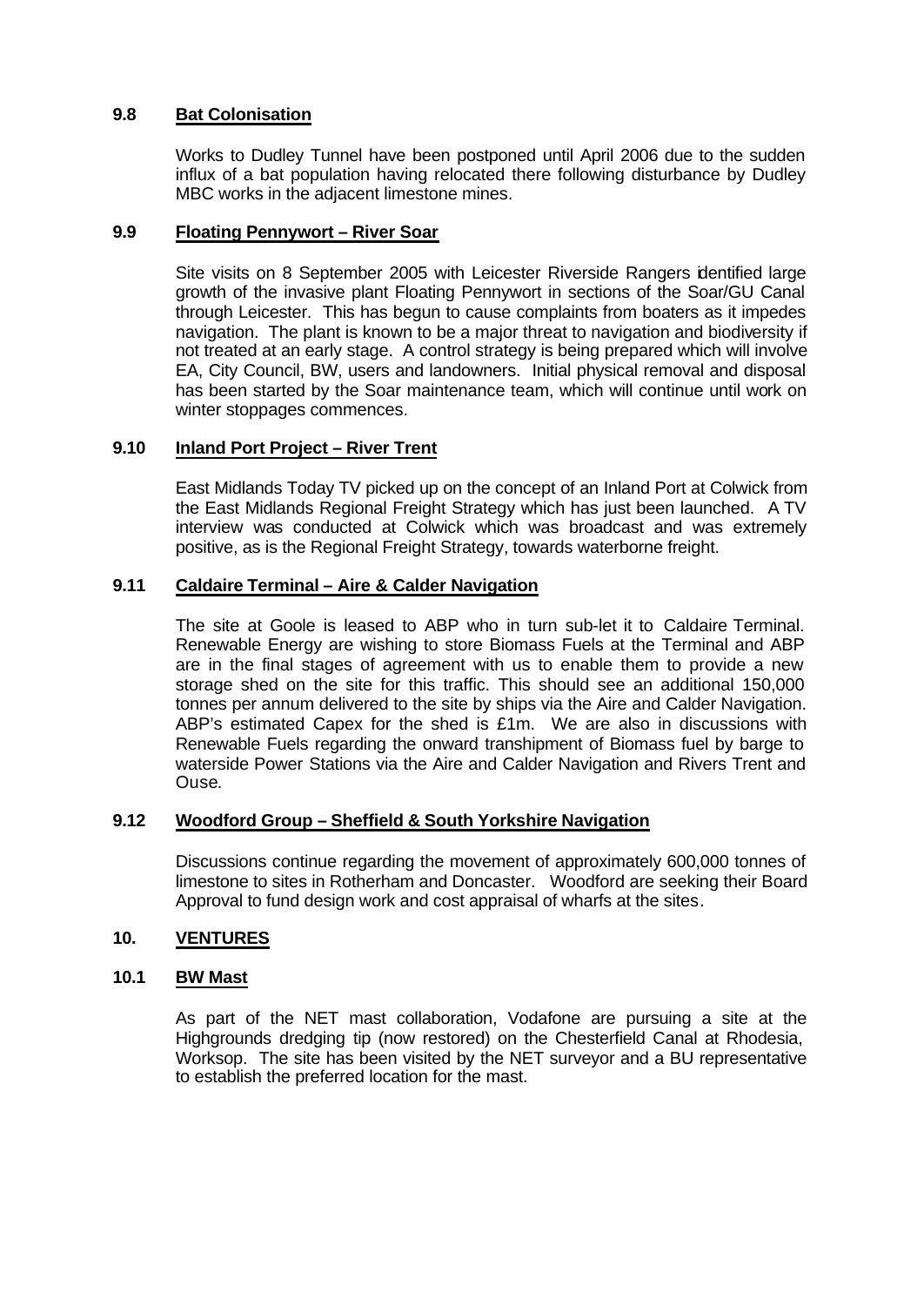## **9.8 Bat Colonisation**

Works to Dudley Tunnel have been postponed until April 2006 due to the sudden influx of a bat population having relocated there following disturbance by Dudley MBC works in the adjacent limestone mines.

#### **9.9 Floating Pennywort – River Soar**

Site visits on 8 September 2005 with Leicester Riverside Rangers identified large growth of the invasive plant Floating Pennywort in sections of the Soar/GU Canal through Leicester. This has begun to cause complaints from boaters as it impedes navigation. The plant is known to be a major threat to navigation and biodiversity if not treated at an early stage. A control strategy is being prepared which will involve EA, City Council, BW, users and landowners. Initial physical removal and disposal has been started by the Soar maintenance team, which will continue until work on winter stoppages commences.

### **9.10 Inland Port Project – River Trent**

East Midlands Today TV picked up on the concept of an Inland Port at Colwick from the East Midlands Regional Freight Strategy which has just been launched. A TV interview was conducted at Colwick which was broadcast and was extremely positive, as is the Regional Freight Strategy, towards waterborne freight.

#### **9.11 Caldaire Terminal – Aire & Calder Navigation**

The site at Goole is leased to ABP who in turn sub-let it to Caldaire Terminal. Renewable Energy are wishing to store Biomass Fuels at the Terminal and ABP are in the final stages of agreement with us to enable them to provide a new storage shed on the site for this traffic. This should see an additional 150,000 tonnes per annum delivered to the site by ships via the Aire and Calder Navigation. ABP's estimated Capex for the shed is £1m. We are also in discussions with Renewable Fuels regarding the onward transhipment of Biomass fuel by barge to waterside Power Stations via the Aire and Calder Navigation and Rivers Trent and Ouse.

#### **9.12 Woodford Group – Sheffield & South Yorkshire Navigation**

Discussions continue regarding the movement of approximately 600,000 tonnes of limestone to sites in Rotherham and Doncaster. Woodford are seeking their Board Approval to fund design work and cost appraisal of wharfs at the sites.

#### **10. VENTURES**

## **10.1 BW Mast**

As part of the NET mast collaboration, Vodafone are pursuing a site at the Highgrounds dredging tip (now restored) on the Chesterfield Canal at Rhodesia, Worksop. The site has been visited by the NET surveyor and a BU representative to establish the preferred location for the mast.